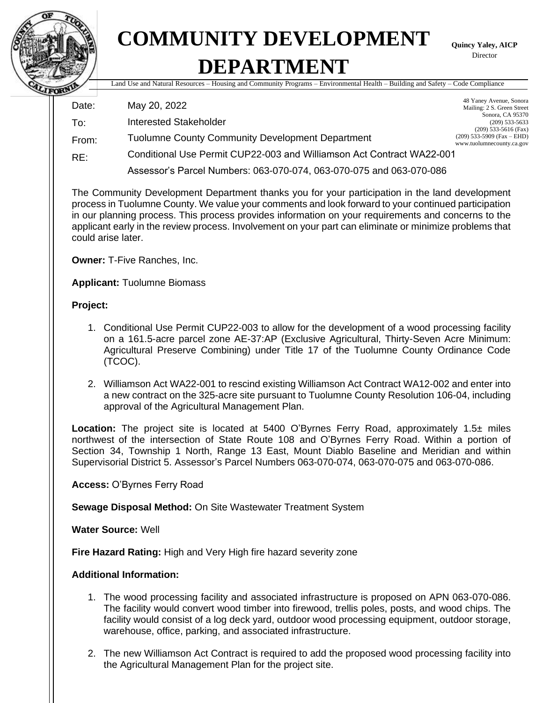

## **COMMUNITY DEVELOPMENT DEPARTMENT**

**Quincy Yaley, AICP** Director

Land Use and Natural Resources – Housing and Community Programs – Environmental Health – Building and Safety – Code Compliance

| Date: | May 20, 2022                                                          | 48 Yaney Avenue, Sonora<br>Mailing: 2 S. Green Street          |  |
|-------|-----------------------------------------------------------------------|----------------------------------------------------------------|--|
| To:   | <b>Interested Stakeholder</b>                                         | Sonora, CA 95370<br>$(209)$ 533-5633<br>$(209)$ 533-5616 (Fax) |  |
| From: | <b>Tuolumne County Community Development Department</b>               | $(209)$ 533-5909 (Fax – EHD)<br>www.tuolumnecounty.ca.gov      |  |
| RE:   | Conditional Use Permit CUP22-003 and Williamson Act Contract WA22-001 |                                                                |  |
|       | Assessor's Parcel Numbers: 063-070-074, 063-070-075 and 063-070-086   |                                                                |  |

The Community Development Department thanks you for your participation in the land development process in Tuolumne County. We value your comments and look forward to your continued participation in our planning process. This process provides information on your requirements and concerns to the applicant early in the review process. Involvement on your part can eliminate or minimize problems that could arise later.

**Owner:** T-Five Ranches, Inc.

**Applicant:** Tuolumne Biomass

## **Project:**

- 1. Conditional Use Permit CUP22-003 to allow for the development of a wood processing facility on a 161.5-acre parcel zone AE-37:AP (Exclusive Agricultural, Thirty-Seven Acre Minimum: Agricultural Preserve Combining) under Title 17 of the Tuolumne County Ordinance Code (TCOC).
- 2. Williamson Act WA22-001 to rescind existing Williamson Act Contract WA12-002 and enter into a new contract on the 325-acre site pursuant to Tuolumne County Resolution 106-04, including approval of the Agricultural Management Plan.

**Location:** The project site is located at 5400 O'Byrnes Ferry Road, approximately 1.5± miles northwest of the intersection of State Route 108 and O'Byrnes Ferry Road. Within a portion of Section 34, Township 1 North, Range 13 East, Mount Diablo Baseline and Meridian and within Supervisorial District 5. Assessor's Parcel Numbers 063-070-074, 063-070-075 and 063-070-086.

**Access:** O'Byrnes Ferry Road

**Sewage Disposal Method:** On Site Wastewater Treatment System

**Water Source:** Well

**Fire Hazard Rating:** High and Very High fire hazard severity zone

## **Additional Information:**

- 1. The wood processing facility and associated infrastructure is proposed on APN 063-070-086. The facility would convert wood timber into firewood, trellis poles, posts, and wood chips. The facility would consist of a log deck yard, outdoor wood processing equipment, outdoor storage, warehouse, office, parking, and associated infrastructure.
- 2. The new Williamson Act Contract is required to add the proposed wood processing facility into the Agricultural Management Plan for the project site.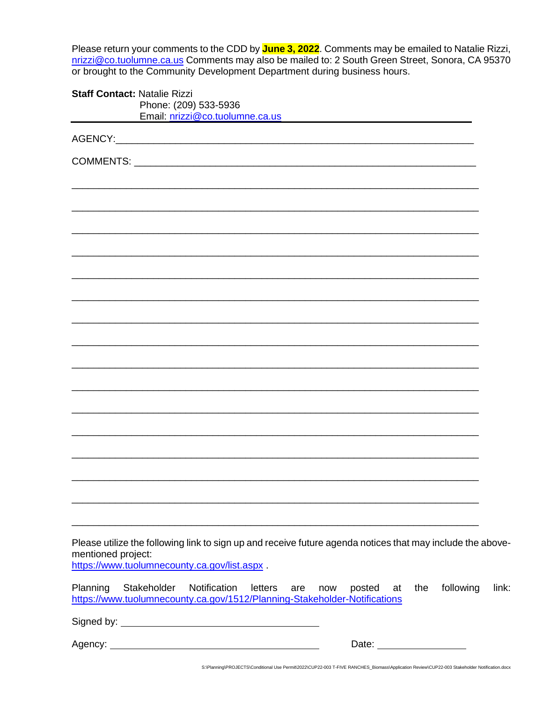Please return your comments to the CDD by **June 3, 2022**. Comments may be emailed to Natalie Rizzi, [nrizzi@co.tuolumne.ca.us](mailto:nrizzi@co.tuolumne.ca.us) Comments may also be mailed to: 2 South Green Street, Sonora, CA 95370 or brought to the Community Development Department during business hours.

| <b>Staff Contact: Natalie Rizzi</b><br>Phone: (209) 533-5936<br>Email: nrizzi@co.tuolumne.ca.us                                                                                 |       |
|---------------------------------------------------------------------------------------------------------------------------------------------------------------------------------|-------|
|                                                                                                                                                                                 |       |
|                                                                                                                                                                                 |       |
|                                                                                                                                                                                 |       |
|                                                                                                                                                                                 |       |
|                                                                                                                                                                                 |       |
|                                                                                                                                                                                 |       |
|                                                                                                                                                                                 |       |
|                                                                                                                                                                                 |       |
|                                                                                                                                                                                 |       |
|                                                                                                                                                                                 |       |
|                                                                                                                                                                                 |       |
|                                                                                                                                                                                 |       |
|                                                                                                                                                                                 |       |
|                                                                                                                                                                                 |       |
|                                                                                                                                                                                 |       |
|                                                                                                                                                                                 |       |
|                                                                                                                                                                                 |       |
|                                                                                                                                                                                 |       |
| Please utilize the following link to sign up and receive future agenda notices that may include the above-<br>mentioned project:<br>https://www.tuolumnecounty.ca.gov/list.aspx |       |
| Planning<br>Stakeholder Notification letters are<br>posted<br>the<br>following<br>now<br>at<br>https://www.tuolumnecounty.ca.gov/1512/Planning-Stakeholder-Notifications        | link: |
|                                                                                                                                                                                 |       |
| Date: ___________________                                                                                                                                                       |       |
| S:\Planning\PROJECTS\Conditional Use Permit\2022\CUP22-003 T-FIVE RANCHES Biomass\Application Review\CUP22-003 Stakeholder Notification.docx                                    |       |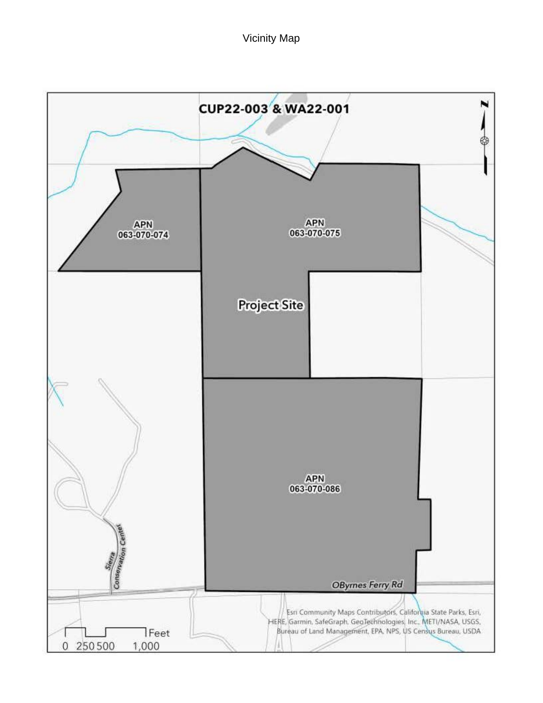**Vicinity Map**